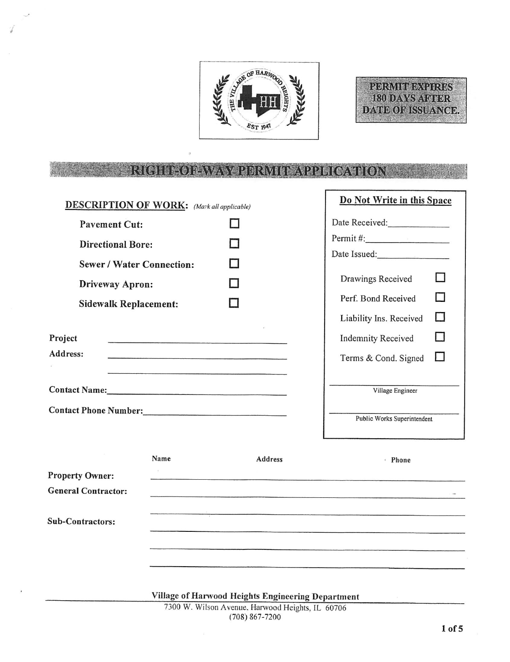



#### **HIMORAWA ERMIT APPLICATION**

r

| <b>DESCRIPTION OF WORK:</b> (Mark all applicable)                                                              |      |  |                                                   | Do Not Write in this Space   |   |
|----------------------------------------------------------------------------------------------------------------|------|--|---------------------------------------------------|------------------------------|---|
| <b>Pavement Cut:</b>                                                                                           |      |  |                                                   | Date Received:______________ |   |
| <b>Directional Bore:</b>                                                                                       |      |  |                                                   | Permit $\#$ :                |   |
| <b>Sewer / Water Connection:</b>                                                                               |      |  |                                                   | Date Issued:                 |   |
| Driveway Apron:                                                                                                |      |  |                                                   | Drawings Received            |   |
| <b>Sidewalk Replacement:</b>                                                                                   |      |  |                                                   | Perf. Bond Received          |   |
|                                                                                                                |      |  |                                                   | Liability Ins. Received      |   |
| Project                                                                                                        |      |  |                                                   | <b>Indemnity Received</b>    | U |
| Address:                                                                                                       |      |  | Terms & Cond. Signed                              | $\Box$                       |   |
| Contact Name: Manual Manual Manual Manual Manual Manual Manual Manual Manual Manual Manual Manual Manual Manua |      |  | Village Engineer                                  |                              |   |
|                                                                                                                |      |  | Public Works Superintendent                       |                              |   |
| <b>Property Owner:</b><br><b>General Contractor:</b>                                                           | Name |  | Address                                           | · Phone                      |   |
| Sub-Contractors:                                                                                               |      |  |                                                   |                              |   |
|                                                                                                                |      |  |                                                   |                              |   |
|                                                                                                                |      |  |                                                   |                              |   |
|                                                                                                                |      |  | Village of Harwood Heights Engineering Department |                              |   |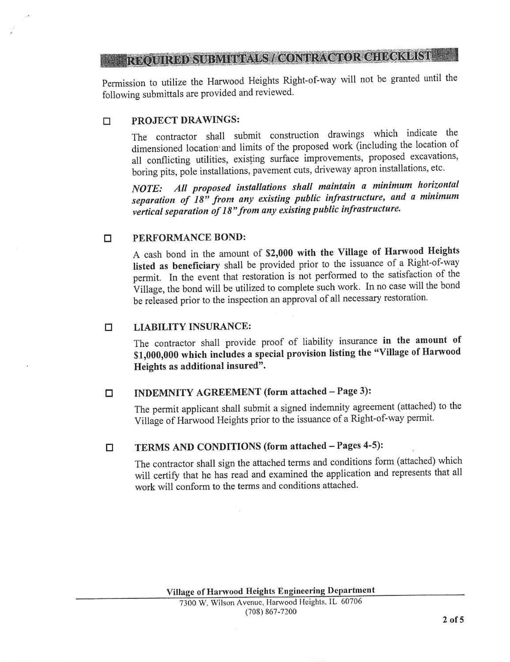# **REQUIRED SUBMITIALS/CONTRACTOR CHECKLIST**

Permission to utilize the Harwood Heights Right-of-way will not be granted until the following submittals are provided and reviewed.

#### $\Box$ PROJECT DRAWINGS:

The contractor shall submit construction drawings which indicate the dimensioned location and limits of the proposed work (including the location of all conflicting utilities, existing surface improvements, proposed excavations, boring pits, pole installations, pavement cuts, driveway apron installations, etc.

NOTE: All proposed installations shall maintain a minimum horizontal separation of  $18^n$  from any existing public infrastructure, and a minimum vertical separation of 18" from any existing public infrastructure.

#### PERFORMANCE BOND:  $\Box$

A cash bond in the amount of \$2,000 with the Village of Harwood Heights listed as beneficiary shall be provided prior to the issuance of a Right-of-way permit. In the event that restoration is not performed to the satisfaction of the Village, the bond will be utilized to complete such work. In no case will the bond be released prior to the inspection an approval of all necessary restoration.

#### LIABILITY INSURANCE:  $\Box$

The contractor shall provide proof of liability insurance in the amount of \$1,000,000 which includes a special provision listing the "Village of Harwood Heights as additional insured".

### $\Box$

INDEMNITY AGREEMENT (form attached - Page 3):

The permit applicant shall submit a signed indemnity agreement (attached) to the Village of Harwood Heights prior to the issuance of a Right-of-way permit.

#### TERMS AND CONDITIONS (form attached - Pages 4-5):  $\Box$

The contractor shall sign the attached terms and conditions form (attached) which will certify that he has read and examined the application and represents that all work will conform to the terms and conditions attached.